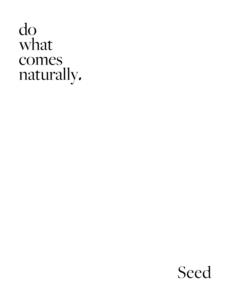## do what comes naturally.